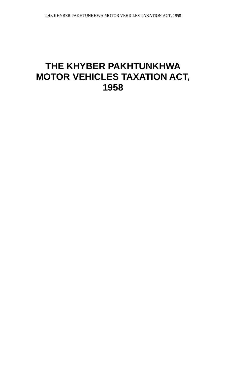# **THE KHYBER PAKHTUNKHWA MOTOR VEHICLES TAXATION ACT, 1958**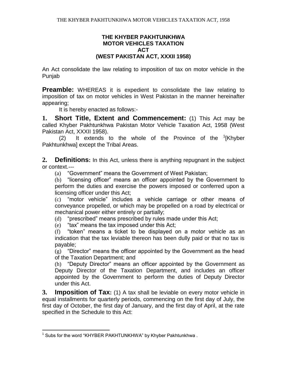#### **THE KHYBER PAKHTUNKHWA MOTOR VEHICLES TAXATION ACT (WEST PAKISTAN ACT, XXXII 1958)**

An Act consolidate the law relating to imposition of tax on motor vehicle in the Punjab

**Preamble:** WHEREAS it is expedient to consolidate the law relating to imposition of tax on motor vehicles in West Pakistan in the manner hereinafter appearing;

It is hereby enacted as follows:-

**1. Short Title, Extent and Commencement:** (1) This Act may be called Khyber Pakhtunkhwa Pakistan Motor Vehicle Taxation Act, 1958 (West Pakistan Act, XXXII 1958).

(2) It extends to the whole of the Province of the  ${}^{1}$ [Khyber Pakhtunkhwa] except the Tribal Areas.

**2. Definitions:** In this Act, unless there is anything repugnant in the subject or context.---

(a) "Government" means the Government of West Pakistan;

(b) "licensing officer" means an officer appointed by the Government to perform the duties and exercise the powers imposed or conferred upon a licensing officer under this Act;

(c) "motor vehicle" includes a vehicle carriage or other means of conveyance propelled, or which may be propelled on a road by electrical or mechanical power either entirely or partially;

(d) "prescribed" means prescribed by rules made under this Act;

(e) "tax" means the tax imposed under this Act;

(f) "token" means a ticket to be displayed on a motor vehicle as an indication that the tax leviable thereon has been dully paid or that no tax is payable;

(g) "Director" means the officer appointed by the Government as the head of the Taxation Department; and

(h) "Deputy Director" means an officer appointed by the Government as Deputy Director of the Taxation Department, and includes an officer appointed by the Government to perform the duties of Deputy Director under this Act.

**3. Imposition of Tax:** (1) A tax shall be leviable on every motor vehicle in equal installments for quarterly periods, commencing on the first day of July, the first day of October, the first day of January, and the first day of April, at the rate specified in the Schedule to this Act:

 $\overline{a}$  $1$  Subs for the word "KHYBER PAKHTUNKHWA" by Khyber Pakhtunkhwa.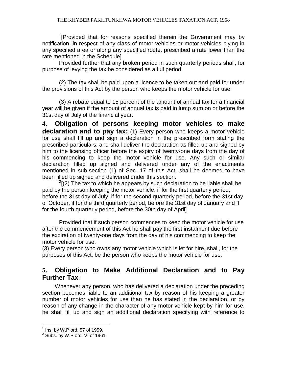<sup>1</sup>[Provided that for reasons specified therein the Government may by notification, in respect of any class of motor vehicles or motor vehicles plying in any specified area or along any specified route, prescribed a rate lower than the rate mentioned in the Schedule]

Provided further that any broken period in such quarterly periods shall, for purpose of levying the tax be considered as a full period.

(2) The tax shall be paid upon a licence to be taken out and paid for under the provisions of this Act by the person who keeps the motor vehicle for use.

(3) A rebate equal to 15 percent of the amount of annual tax for a financial year will be given if the amount of annual tax is paid in lump sum on or before the 31st day of July of the financial year.

**4. Obligation of persons keeping motor vehicles to make declaration and to pay tax:** (1) Every person who keeps a motor vehicle for use shall fill up and sign a declaration in the prescribed form stating the prescribed particulars, and shall deliver the declaration as filled up and signed by him to the licensing officer before the expiry of twenty-one days from the day of his commencing to keep the motor vehicle for use. Any such or similar declaration filled up signed and delivered under any of the enactments mentioned in sub-section (1) of Sec. 17 of this Act, shall be deemed to have been filled up signed and delivered under this section.

 $2$ [(2) The tax to which he appears by such declaration to be liable shall be paid by the person keeping the motor vehicle, if for the first quarterly period, before the 31st day of July, if for the second quarterly period, before the 31st day of October, if for the third quarterly period, before the 31st day of January and if for the fourth quarterly period, before the 30th day of April]

Provided that if such person commences to keep the motor vehicle for use after the commencement of this Act he shall pay the first instalment due before the expiration of twenty-one days from the day of his commencing to keep the motor vehicle for use.

(3) Every person who owns any motor vehicle which is let for hire, shall, for the purposes of this Act, be the person who keeps the motor vehicle for use.

### **5. Obligation to Make Additional Declaration and to Pay Further Tax**:

Whenever any person, who has delivered a declaration under the preceding section becomes liable to an additional tax by reason of his keeping a greater number of motor vehicles for use than he has stated in the declaration, or by reason of any change in the character of any motor vehicle kept by him for use, he shall fill up and sign an additional declaration specifying with reference to

 $\overline{a}$  $^1$  Ins. by W.P ord. 57 of 1959.

 $2$  Subs. by W.P ord: VI of 1961.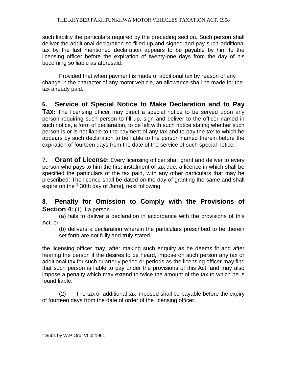such liability the particulars required by the preceding section. Such person shall deliver the additional declaration so filled up and signed and pay such additional tax by the last mentioned declaration appears to be payable by him to the licensing officer before the expiration of twenty-one days from the day of his becoming so liable as aforesaid:

Provided that when payment is made of additional tax by reason of any change in the character of any motor vehicle, an allowance shall be made for the tax already paid.

## **6. Service of Special Notice to Make Declaration and to Pay**

**Tax:** The licensing officer may direct a special notice to be served upon any person requiring such person to fill up, sign and deliver to the officer named in such notice, a form of declaration, to be left with such notice stating whether such person is or is not liable to the payment of any tax and to pay the tax to which he appears by such declaration to be liable to the person named therein before the expiration of fourteen days from the date of the service of such special notice.

**7. Grant of License:** Every licensing officer shall grant and deliver to every person who pays to him the first instalment of tax due, a licence in which shall be specified the particulars of the tax paid, with any other particulars that may be prescribed. The licence shall be dated on the day of granting the same and shall .<br>expire on the <sup>1</sup>[30th day of June], next following.

#### **8. Penalty for Omission to Comply with the Provisions of Section 4:** (1) If a person—

(a) fails to deliver a declaration in accordance with the provisions of this Act; or

(b) delivers a declaration wherein the particulars prescribed to be therein set forth are not fully and truly stated,

the licensing officer may, after making such enquiry as he deems fit and after hearing the person if the desires to be heard, impose on such person any tax or additional tax for such quarterly period or periods as the licensing officer may find that such person is liable to pay under the provisions of this Act, and may also impose a penalty which may extend to twice the amount of the tax to which he is found liable.

(2) The tax or additional tax imposed shall be payable before the expiry of fourteen days from the date of order of the licensing officer.

 $\overline{a}$ <sup>1</sup> Subs by W.P Ord. VI of 1961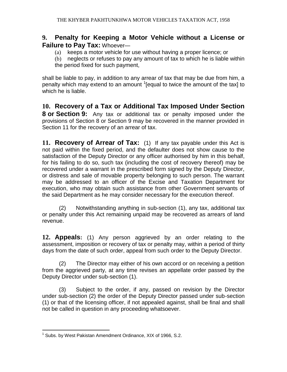#### **9. Penalty for Keeping a Motor Vehicle without a License or Failure to Pay Tax:** Whoever—

- (a) keeps a motor vehicle for use without having a proper licence; or
- (b) neglects or refuses to pay any amount of tax to which he is liable within the period fixed for such payment,

shall be liable to pay, in addition to any arrear of tax that may be due from him, a penalty which may extend to an amount <sup>1</sup> [equal to twice the amount of the tax] to which he is liable.

**10. Recovery of a Tax or Additional Tax Imposed Under Section 8 or Section 9:** Any tax or additional tax or penalty imposed under the provisions of Section 8 or Section 9 may be recovered in the manner provided in Section 11 for the recovery of an arrear of tax.

**11. Recovery of Arrear of Tax:** (1) If any tax payable under this Act is not paid within the fixed period, and the defaulter does not show cause to the satisfaction of the Deputy Director or any officer authorised by him in this behalf, for his failing to do so, such tax (including the cost of recovery thereof) may be recovered under a warrant in the prescribed form signed by the Deputy Director, or distress and sale of movable property belonging to such person. The warrant may be addressed to an officer of the Excise and Taxation Department for execution, who may obtain such assistance from other Government servants of the said Department as he may consider necessary for the execution thereof.

(2) Notwithstanding anything in sub-section (1), any tax, additional tax or penalty under this Act remaining unpaid may be recovered as arrears of land revenue.

**12. Appeals:** (1) Any person aggrieved by an order relating to the assessment, imposition or recovery of tax or penalty may, within a period of thirty days from the date of such order, appeal from such order to the Deputy Director.

(2) The Director may either of his own accord or on receiving a petition from the aggrieved party, at any time revises an appellate order passed by the Deputy Director under sub-section (1).

 (3) Subject to the order, if any, passed on revision by the Director under sub-section (2) the order of the Deputy Director passed under sub-section (1) or that of the licensing officer, if not appealed against, shall be final and shall not be called in question in any proceeding whatsoever.

 $\overline{a}$ <sup>1</sup> Subs. by West Pakistan Amendment Ordinance, XIX of 1966, S.2.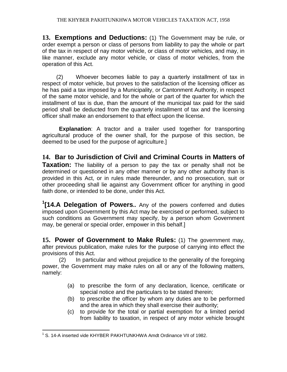**13. Exemptions and Deductions:** (1) The Government may be rule, or order exempt a person or class of persons from liability to pay the whole or part of the tax in respect of nay motor vehicle, or class of motor vehicles, and may, in like manner, exclude any motor vehicle, or class of motor vehicles, from the operation of this Act.

 (2) Whoever becomes liable to pay a quarterly installment of tax in respect of motor vehicle, but proves to the satisfaction of the licensing officer as he has paid a tax imposed by a Municipality, or Cantonment Authority, in respect of the same motor vehicle, and for the whole or part of the quarter for which the installment of tax is due, than the amount of the municipal tax paid for the said period shall be deducted from the quarterly installment of tax and the licensing officer shall make an endorsement to that effect upon the license.

**Explanation**: A tractor and a trailer used together for transporting agricultural produce of the owner shall, for the purpose of this section, be deemed to be used for the purpose of agriculture.]

**14. Bar to Jurisdiction of Civil and Criminal Courts in Matters of Taxation:** The liability of a person to pay the tax or penalty shall not be determined or questioned in any other manner or by any other authority than is provided in this Act, or in rules made thereunder, and no prosecution, suit or other proceeding shall lie against any Government officer for anything in good faith done, or intended to be done, under this Act.

**1 [14.A Delegation of Powers..** Any of the powers conferred and duties imposed upon Government by this Act may be exercised or performed, subject to such conditions as Government may specify, by a person whom Government may, be general or special order, empower in this behalf.]

**15. Power of Government to Make Rules:** (1) The government may, after previous publication, make rules for the purpose of carrying into effect the provisions of this Act.

(2) In particular and without prejudice to the generality of the foregoing power, the Government may make rules on all or any of the following matters, namely:

- (a) to prescribe the form of any declaration, licence, certificate or special notice and the particulars to be stated therein;
- (b) to prescribe the officer by whom any duties are to be performed and the area in which they shall exercise their authority;
- (c) to provide for the total or partial exemption for a limited period from liability to taxation, in respect of any motor vehicle brought

 $\overline{a}$ <sup>1</sup> S. 14-A inserted vide KHYBER PAKHTUNKHWA Amdt Ordinance VII of 1982.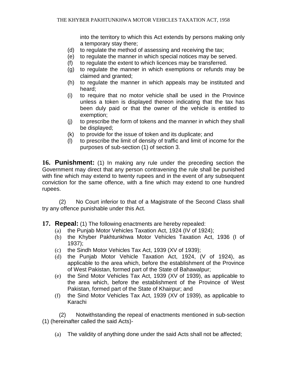into the territory to which this Act extends by persons making only a temporary stay there;

- (d) to regulate the method of assessing and receiving the tax;
- (e) to regulate the manner in which special notices may be served.
- (f) to regulate the extent to which licences may be transferred.
- (g) to regulate the manner in which exemptions or refunds may be claimed and granted;
- (h) to regulate the manner in which appeals may be instituted and heard;
- (i) to require that no motor vehicle shall be used in the Province unless a token is displayed thereon indicating that the tax has been duly paid or that the owner of the vehicle is entitled to exemption;
- (j) to prescribe the form of tokens and the manner in which they shall be displayed;
- (k) to provide for the issue of token and its duplicate; and
- (l) to prescribe the limit of density of traffic and limit of income for the purposes of sub-section (1) of section 3.

**16. Punishment:** (1) In making any rule under the preceding section the Government may direct that any person contravening the rule shall be punished with fine which may extend to twenty rupees and in the event of any subsequent conviction for the same offence, with a fine which may extend to one hundred rupees.

(2) No Court inferior to that of a Magistrate of the Second Class shall try any offence punishable under this Act.

- **17. Repeal:** (1) The following enactments are hereby repealed:
	- (a) the Punjab Motor Vehicles Taxation Act, 1924 (IV of 1924);
	- (b) the Khyber Pakhtunkhwa Motor Vehicles Taxation Act, 1936 (I of 1937);
	- (c) the Sindh Motor Vehicles Tax Act, 1939 (XV of 1939);
	- (d) the Punjab Motor Vehicle Taxation Act, 1924, (V of 1924), as applicable to the area which, before the establishment of the Province of West Pakistan, formed part of the State of Bahawalpur;
	- (e) the Sind Motor Vehicles Tax Act, 1939 (XV of 1939), as applicable to the area which, before the establishment of the Province of West Pakistan, formed part of the State of Khairpur; and
	- (f) the Sind Motor Vehicles Tax Act, 1939 (XV of 1939), as applicable to Karachi

(2) Notwithstanding the repeal of enactments mentioned in sub-section (1) (hereinafter called the said Acts)-

(a) The validity of anything done under the said Acts shall not be affected;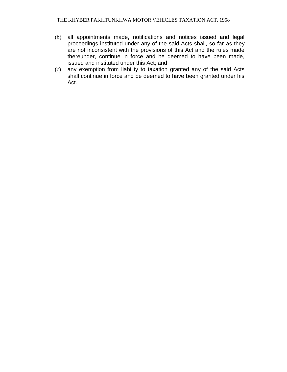- (b) all appointments made, notifications and notices issued and legal proceedings instituted under any of the said Acts shall, so far as they are not inconsistent with the provisions of this Act and the rules made thereunder, continue in force and be deemed to have been made, issued and instituted under this Act; and
- (c) any exemption from liability to taxation granted any of the said Acts shall continue in force and be deemed to have been granted under his Act.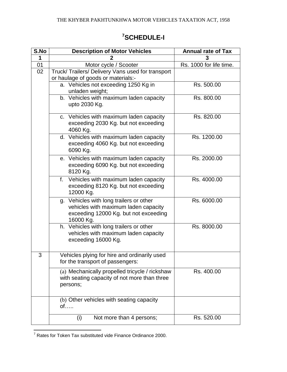#### **S.No Description of Motor Vehicles Annual rate of Tax 1 2 3** 01 | Motor cycle / Scooter | Rs. 1000 for life time. 02 | Truck/ Trailers/ Delivery Vans used for transport or haulage of goods or materials: a. Vehicles not exceeding 1250 Kg in unladen weight; Rs. 500.00 b. Vehicles with maximum laden capacity upto 2030 Kg. Rs. 800.00 c. Vehicles with maximum laden capacity exceeding 2030 Kg. but not exceeding 4060 Kg. Rs. 820.00 d. Vehicles with maximum laden capacity exceeding 4060 Kg. but not exceeding 6090 Kg. Rs. 1200.00 e. Vehicles with maximum laden capacity exceeding 6090 Kg. but not exceeding 8120 Kg. Rs. 2000.00 f. Vehicles with maximum laden capacity exceeding 8120 Kg. but not exceeding 12000 Kg. Rs. 4000.00 g. Vehicles with long trailers or other vehicles with maximum laden capacity exceeding 12000 Kg. but not exceeding 16000 Kg. Rs. 6000.00 h. Vehicles with long trailers or other vehicles with maximum laden capacity exceeding 16000 Kg. Rs. 8000.00 3 Vehicles plying for hire and ordinarily used for the transport of passengers: (a) Mechanically propelled tricycle / rickshaw with seating capacity of not more than three persons; Rs. 400.00 (b) Other vehicles with seating capacity of…..

(i) Not more than 4 persons;  $\vert$  Rs. 520.00

## **<sup>7</sup>SCHEDULE-I**

 $\overline{a}$ 

 $7$  Rates for Token Tax substituted vide Finance Ordinance 2000.